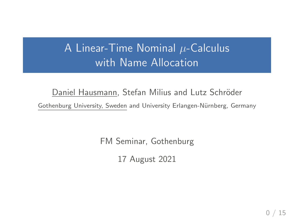# A Linear-Time Nominal  $\mu$ -Calculus with Name Allocation

Daniel Hausmann, Stefan Milius and Lutz Schröder Gothenburg University, Sweden and University Erlangen-Nürnberg, Germany

FM Seminar, Gothenburg

17 August 2021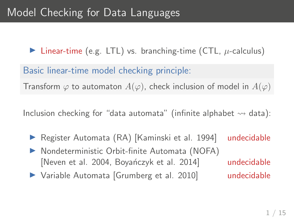Inear-time (e.g. LTL) vs. branching-time (CTL,  $\mu$ -calculus)

Basic linear-time model checking principle:

Transform  $\varphi$  to automaton  $A(\varphi)$ , check inclusion of model in  $A(\varphi)$ 

Inclusion checking for "data automata" (infinite alphabet  $\rightsquigarrow$  data):

- ▶ Register Automata (RA) [Kaminski et al. 1994] undecidable
- $\triangleright$  Nondeterministic Orbit-finite Automata (NOFA) [Neven et al. 2004, Boyanczyk et al. 2014] undecidable
- Variable Automata [Grumberg et al. 2010] undecidable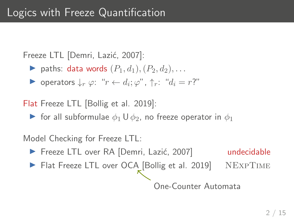Freeze LTL [Demri, Lazić, 2007]:

- ightharpoonup paths: data words  $(P_1, d_1), (P_2, d_2), \ldots$
- $\triangleright$  operators ↓r  $\varphi$ : "r  $\leftarrow d_i$ ;  $\varphi$ ", ↑r: " $d_i = r$ ?"

Flat Freeze LTL [Bollig et al. 2019]:

**If** for all subformulae  $\phi_1 \cup \phi_2$ , no freeze operator in  $\phi_1$ 

Model Checking for Freeze LTL:

- ▶ Freeze LTL over RA [Demri, Lazić, 2007] undecidable
- Flat Freeze LTL over OCA [Bollig et al. 2019] NEXPTIME

One-Counter Automata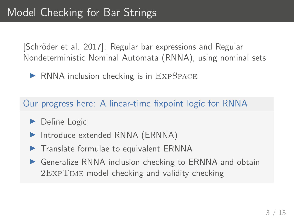[Schröder et al. 2017]: Regular bar expressions and Regular Nondeterministic Nominal Automata (RNNA), using nominal sets

 $\triangleright$  RNNA inclusion checking is in EXPSPACE

Our progress here: A linear-time fixpoint logic for RNNA

- $\blacktriangleright$  Define Logic
- Introduce extended RNNA (ERNNA)
- $\triangleright$  Translate formulae to equivalent ERNNA
- $\triangleright$  Generalize RNNA inclusion checking to ERNNA and obtain 2ExpTime model checking and validity checking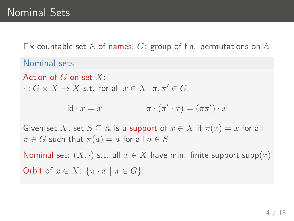Fix countable set A of names, G: group of fin. permutations on A

Nominal sets

Action of  $G$  on set  $X$ :

 $\cdot : G \times X \rightarrow X$  s.t. for all  $x \in X$ ,  $\pi, \pi' \in G$ 

$$
\mathrm{id} \cdot x = x \qquad \qquad \pi \cdot (\pi' \cdot x) = (\pi \pi') \cdot x
$$

Given set X, set  $S \subseteq A$  is a support of  $x \in X$  if  $\pi(x) = x$  for all  $\pi \in G$  such that  $\pi(a) = a$  for all  $a \in S$ 

Nominal set:  $(X, \cdot)$  s.t. all  $x \in X$  have min. finite support supp $(x)$ Orbit of  $x \in X$ :  $\{\pi \cdot x \mid \pi \in G\}$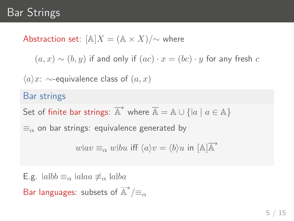# Bar Strings

Abstraction set:  $[A]X = (A \times X)/\sim$  where

 $(a, x) \sim (b, y)$  if and only if  $(ac) \cdot x = (bc) \cdot y$  for any fresh c

 $\langle a \rangle x$ : ∼-equivalence class of  $(a, x)$ 

#### Bar strings

Set of finite bar strings:  $\overline{A}^*$  where  $\overline{A} = \mathbb{A} \cup \{ |a \mid a \in \mathbb{A} \}$ 

 $\equiv_\alpha$  on bar strings: equivalence generated by

$$
w \vert av \equiv_{\alpha} w \vert bu \text{ iff } \langle a \rangle v = \langle b \rangle u \text{ in } [\mathbb{A}] \overline{\mathbb{A}}^*
$$

E.g.  $|a|bb \equiv_{\alpha} |a|aa \not\equiv_{\alpha} |a|ba$ Bar languages: subsets of  $\overline{\mathbb{A}}^*/\equiv_\alpha$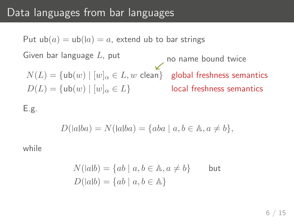## Data languages from bar languages

Put  $ub(a) = ub( |a) = a$ , extend ub to bar strings Given bar language  $L$ , put  $N(L)=\{\mathsf{ub}(w)\mid [w]_{\alpha}\in L, w \text{ clean}\}$  global freshness semantics no name bound twice  $D(L) = \{ub(w) | [w]_{\alpha} \in L\}$  local freshness semantics

#### E.g.

$$
D(|a|ba) = N(|a|ba) = \{aba \mid a, b \in \mathbb{A}, a \neq b\},
$$

while

$$
N(|ab) = \{ab \mid a, b \in \mathbb{A}, a \neq b\}
$$
 but  

$$
D(|ab) = \{ab \mid a, b \in \mathbb{A}\}
$$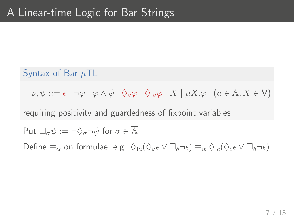## Syntax of Bar- $\mu$ TL

 $\varphi, \psi ::= \epsilon \mid \neg \varphi \mid \varphi \wedge \psi \mid \Diamond_a \varphi \mid \Diamond_{a} \varphi \mid X \mid \mu X. \varphi \quad (a \in \mathbb{A}, X \in \mathsf{V})$ 

requiring positivity and guardedness of fixpoint variables

Put 
$$
\Box_{\sigma}\psi := \neg \Diamond_{\sigma} \neg \psi
$$
 for  $\sigma \in \overline{\mathbb{A}}$ 

Define  $\equiv_{\alpha}$  on formulae, e.g.  $\Diamond_{a}(\Diamond_{a} \epsilon \vee \Box_{b} \neg \epsilon) \equiv_{\alpha} \Diamond_{c}(\Diamond_{c} \epsilon \vee \Box_{b} \neg \epsilon)$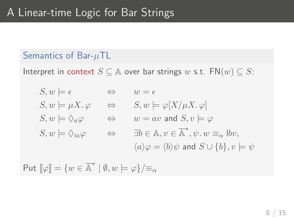#### Semantics of Bar- $\mu$ TL

Interpret in context  $S \subseteq A$  over bar strings w s.t.  $FN(w) \subseteq S$ :

$$
S, w \models \epsilon \qquad \Leftrightarrow \qquad w = \epsilon
$$
  
\n
$$
S, w \models \mu X. \varphi \qquad \Leftrightarrow \qquad S, w \models \varphi[X/\mu X. \varphi]
$$
  
\n
$$
S, w \models \Diamond_a \varphi \qquad \Leftrightarrow \qquad w = av \text{ and } S, v \models \varphi
$$
  
\n
$$
S, w \models \Diamond_a \varphi \qquad \Leftrightarrow \qquad \exists b \in \mathbb{A}, v \in \overline{\mathbb{A}}^*, \psi. w \equiv_\alpha \exists bv,
$$
  
\n
$$
\langle a \rangle \varphi = \langle b \rangle \psi \text{ and } S \cup \{b\}, v \models \psi
$$

$$
\mathsf{Put}\ [\![\varphi]\!]=\{w\in\overline{\mathbb{A}}^*\ |\ \emptyset,w\models\varphi\}/\!\!\equiv_\alpha
$$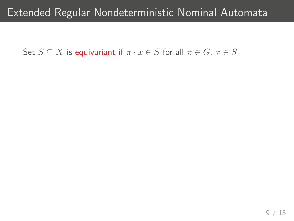## Extended Regular Nondeterministic Nominal Automata

Set  $S \subseteq X$  is equivariant if  $\pi \cdot x \in S$  for all  $\pi \in G$ ,  $x \in S$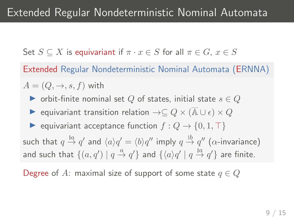# Extended Regular Nondeterministic Nominal Automata

Set  $S \subseteq X$  is equivariant if  $\pi \cdot x \in S$  for all  $\pi \in G$ ,  $x \in S$ 

Extended Regular Nondeterministic Nominal Automata (ERNNA)

 $A = (Q, \rightarrow, s, f)$  with

- ▶ orbit-finite nominal set Q of states, initial state  $s \in Q$
- $\triangleright$  equivariant transition relation  $\rightarrow \subseteq Q \times (\overline{A} \cup \epsilon) \times Q$
- ► equivariant acceptance function  $f: Q \to \{0, 1, \top\}$ such that  $q\stackrel{la}{\rightarrow}q'$  and  $\langle a\rangle q'=\langle b\rangle q''$  imply  $q\stackrel{lb}{\rightarrow}q''$  ( $\alpha$ -invariance) and such that  $\{(a,q')\mid q\stackrel{a}{\rightarrow}q'\}$  and  $\{\langle a\rangle q'\mid q\stackrel{la}{\rightarrow}q'\}$  are finite.

Degree of A: maximal size of support of some state  $q \in Q$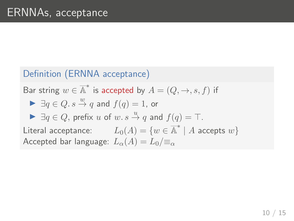## Definition (ERNNA acceptance)

Bar string  $w \in \overline{A}^*$  is accepted by  $A = (Q, \rightarrow, s, f)$  if

$$
\blacktriangleright \exists q \in Q. \, s \stackrel{w}{\to} q \text{ and } f(q) = 1 \text{, or}
$$

$$
\blacktriangleright \exists q \in Q, \text{ prefix } u \text{ of } w. s \stackrel{u}{\rightarrow} q \text{ and } f(q) = \top.
$$

Literal acceptance:  $L_0(A) = \{w \in \overline{A}^* \mid A \text{ accepts } w\}$ Accepted bar language:  $L_{\alpha}(A) = L_0 / \equiv_{\alpha}$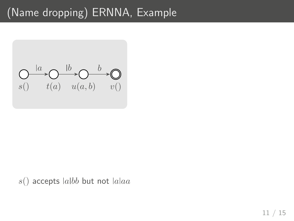# (Name dropping) ERNNA, Example



 $s()$  accepts  $|a|bb$  but not  $|a|aa$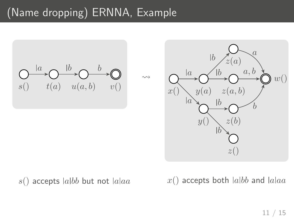# (Name dropping) ERNNA, Example



#### $s()$  accepts  $|a|bb$  but not  $|a|aa$

 $x()$  accepts both  $|a|bb$  and  $|a|aa$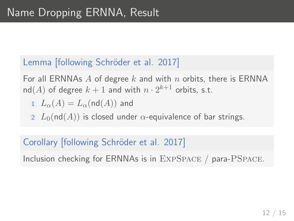## Lemma [following Schröder et al. 2017]

For all ERNNAs A of degree k and with n orbits, there is ERNNA  $\mathsf{nd}(A)$  of degree  $k+1$  and with  $n\cdot 2^{k+1}$  orbits, s.t.

$$
\mathop{\rm 1\hskip -0.75pt L}\nolimits_\alpha(A)=L_\alpha(\mathop{\rm nd}\nolimits(A))\ {\rm and}
$$

2  $L_0(\text{nd}(A))$  is closed under  $\alpha$ -equivalence of bar strings.

### Corollary [following Schröder et al. 2017]

Inclusion checking for ERNNAs is in ExpSpace / para-PSpace.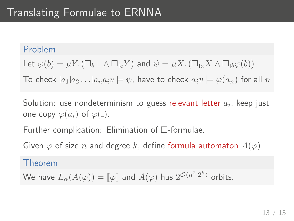#### Problem

Let  $\varphi(b) = \mu Y$ .  $(\Box_b \bot \land \Box_{bc} Y)$  and  $\psi = \mu X$ .  $(\Box_{ba} X \land \Box_{bb} \varphi(b))$ 

To check  $|a_1|a_2...|a_na_iv| \neq \psi$ , have to check  $a_iv \models \varphi(a_n)$  for all n

Solution: use nondeterminism to guess relevant letter  $a_i$ , keep just one copy  $\varphi(a_i)$  of  $\varphi(\_)$ .

Further complication: Elimination of  $\Box$ -formulae.

Given  $\varphi$  of size n and degree k, define formula automaton  $A(\varphi)$ 

#### Theorem

We have  $L_{\alpha}(A(\varphi))=[\![\varphi]\!]$  and  $A(\varphi)$  has  $2^{{\mathcal{O}}(n^2\cdot 2^k)}$  orbits.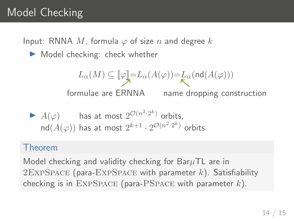# Model Checking

Input: RNNA M, formula  $\varphi$  of size n and degree k

 $\blacktriangleright$  Model checking: check whether

$$
L_{\alpha}(M) \subseteq [\![\varphi]\!] = L_{\alpha}(A(\varphi)) = L_{\alpha}(\text{nd}(A(\varphi)))
$$
\n
$$
\text{formulae are ERNNA} \qquad \text{name dropping construction}
$$
\n
$$
\blacktriangleright A(\varphi) \qquad \text{has at most } 2^{\mathcal{O}(n^2 \cdot 2^k)} \text{ orbits,}
$$
\n
$$
\text{nd}(A(\varphi)) \text{ has at most } 2^{k+1} \cdot 2^{\mathcal{O}(n^2 \cdot 2^k)} \text{ orbits}
$$

#### Theorem

Model checking and validity checking for Bar $\mu$ TL are in  $2$ EXPSPACE (para-EXPSPACE with parameter  $k$ ). Satisfiability checking is in  $\text{EXPSPACE}$  (para-PSPACE with parameter k).